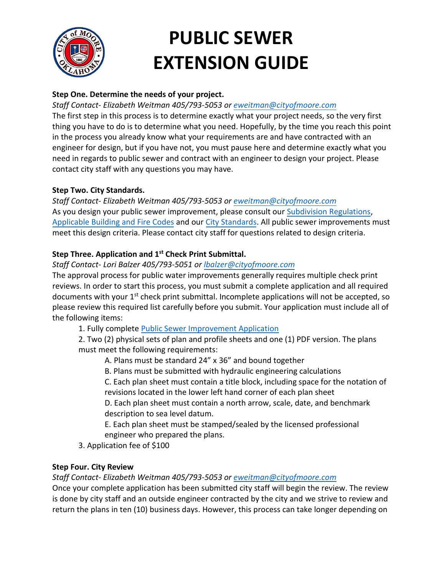

# **PUBLIC SEWER EXTENSION GUIDE**

# **Step One. Determine the needs of your project.**

# *Staff Contact- Elizabeth Weitman 405/793-5053 or [eweitman@cityofmoore.com](mailto:eweitman@cityofmoore.com)*

The first step in this process is to determine exactly what your project needs, so the very first thing you have to do is to determine what you need. Hopefully, by the time you reach this point in the process you already know what your requirements are and have contracted with an engineer for design, but if you have not, you must pause here and determine exactly what you need in regards to public sewer and contract with an engineer to design your project. Please contact city staff with any questions you may have.

## **Step Two. City Standards.**

*Staff Contact- Elizabeth Weitman 405/793-5053 or [eweitman@cityofmoore.com](mailto:eweitman@cityofmoore.com)* As you design your public sewer improvement, please consult our [Subdivision Regulations,](https://library.municode.com/ok/moore/codes/land_development_code?nodeId=PT12LADECO_CH5SURE) [Applicable Building and Fire Codes](https://library.municode.com/ok/moore/codes/code_of_ordinances?nodeId=PT5BURECO_CH2BUCORE_ARTDAWCAPACO) and ou[r City Standards.](https://www.cityofmoore.com/departments/planning-development/public-improvements) All public sewer improvements must meet this design criteria. Please contact city staff for questions related to design criteria.

# **Step Three. Application and 1 st Check Print Submittal.**

## *Staff Contact- Lori Balzer 405/793-5051 or lbalzer[@cityofmoore.c](mailto:nkerbo@cityofmoore.com)om*

The approval process for public water improvements generally requires multiple check print reviews. In order to start this process, you must submit a complete application and all required documents with your 1<sup>st</sup> check print submittal. Incomplete applications will not be accepted, so please review this required list carefully before you submit. Your application must include all of the following items:

1. Fully complete [Public Sewer Improvement Application](https://www.dropbox.com/s/z7za6hu9j70ncd7/Public%20Improvement%20Application.pdf?dl=0)

2. Two (2) physical sets of plan and profile sheets and one (1) PDF version. The plans must meet the following requirements:

A. Plans must be standard 24" x 36" and bound together

B. Plans must be submitted with hydraulic engineering calculations

C. Each plan sheet must contain a title block, including space for the notation of revisions located in the lower left hand corner of each plan sheet

D. Each plan sheet must contain a north arrow, scale, date, and benchmark description to sea level datum.

E. Each plan sheet must be stamped/sealed by the licensed professional engineer who prepared the plans.

3. Application fee of \$100

## **Step Four. City Review**

*Staff Contact- Elizabeth Weitman 405/793-5053 or [eweitman@cityofmoore.com](mailto:eweitman@cityofmoore.com)*

Once your complete application has been submitted city staff will begin the review. The review is done by city staff and an outside engineer contracted by the city and we strive to review and return the plans in ten (10) business days. However, this process can take longer depending on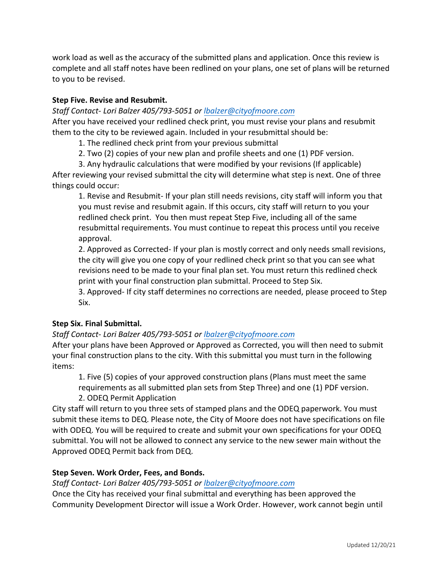work load as well as the accuracy of the submitted plans and application. Once this review is complete and all staff notes have been redlined on your plans, one set of plans will be returned to you to be revised.

## **Step Five. Revise and Resubmit.**

*Staff Contact- Lori Balzer 405/793-5051 or lbalzer[@cityofmoore.c](mailto:nkerbo@cityofmoore.com)om*

After you have received your redlined check print, you must revise your plans and resubmit them to the city to be reviewed again. Included in your resubmittal should be:

1. The redlined check print from your previous submittal

- 2. Two (2) copies of your new plan and profile sheets and one (1) PDF version.
- 3. Any hydraulic calculations that were modified by your revisions (If applicable)

After reviewing your revised submittal the city will determine what step is next. One of three things could occur:

1. Revise and Resubmit- If your plan still needs revisions, city staff will inform you that you must revise and resubmit again. If this occurs, city staff will return to you your redlined check print. You then must repeat Step Five, including all of the same resubmittal requirements. You must continue to repeat this process until you receive approval.

2. Approved as Corrected- If your plan is mostly correct and only needs small revisions, the city will give you one copy of your redlined check print so that you can see what revisions need to be made to your final plan set. You must return this redlined check print with your final construction plan submittal. Proceed to Step Six.

3. Approved- If city staff determines no corrections are needed, please proceed to Step Six.

#### **Step Six. Final Submittal.**

*Staff Contact- Lori Balzer 405/793-5051 or lbalzer[@cityofmoore.c](mailto:nkerbo@cityofmoore.com)om*

After your plans have been Approved or Approved as Corrected, you will then need to submit your final construction plans to the city. With this submittal you must turn in the following items:

1. Five (5) copies of your approved construction plans (Plans must meet the same requirements as all submitted plan sets from Step Three) and one (1) PDF version. 2. ODEQ Permit Application

City staff will return to you three sets of stamped plans and the ODEQ paperwork. You must submit these items to DEQ. Please note, the City of Moore does not have specifications on file with ODEQ. You will be required to create and submit your own specifications for your ODEQ submittal. You will not be allowed to connect any service to the new sewer main without the Approved ODEQ Permit back from DEQ.

## **Step Seven. Work Order, Fees, and Bonds.**

*Staff Contact- Lori Balzer 405/793-5051 or lbalzer[@cityofmoore.c](mailto:nkerbo@cityofmoore.com)om*

Once the City has received your final submittal and everything has been approved the Community Development Director will issue a Work Order. However, work cannot begin until